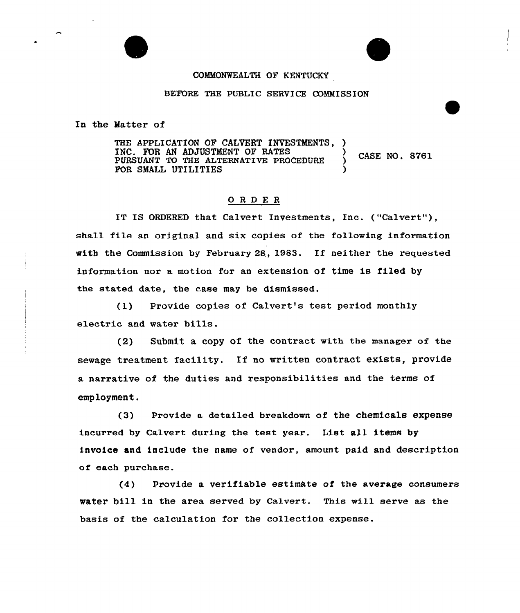## COMMONWEALTH OF KENTUCKY

BEFORE THE PUBLIC SERVICE COMMISSION

In the Matter of

THE APPLICATION OF CALVERT INVESTMENTS, )<br>INC. FOR AN ADJUSTMENT OF RATES INC. FOR AN ADJUSTMENT OF RATES (SASE NO. 8761 FOR SMALL UTILITIES

## ORDE <sup>R</sup>

IT IS ORDERED that Calvert Investments, Inc. ("Calvert"), shall file an original and six copies of the following information with the Commission by February 28, 1983. If neither the requested information nor a motion for an extension of time is filed by the stated date, the case may be dismissed.

(1) Provide copies of Calvert's test period monthly electric and water bills.

(2) Submit a copy of the contract with the manager of the sewage treatment facility. If no written contract exists, provide a narrative of the duties and responsibilities and the terms of employment.

(3) Provide a detailed breakdown of the chemicals expense incurred by Calvert during the test year. List all items by invoice and include the name of vendor, amount paid and description of each purchase.

(4) Provide a verifiable estimate of the average consumers water bill in the area served by Calvert. This will serve as the basis of the calculation for the collection expense.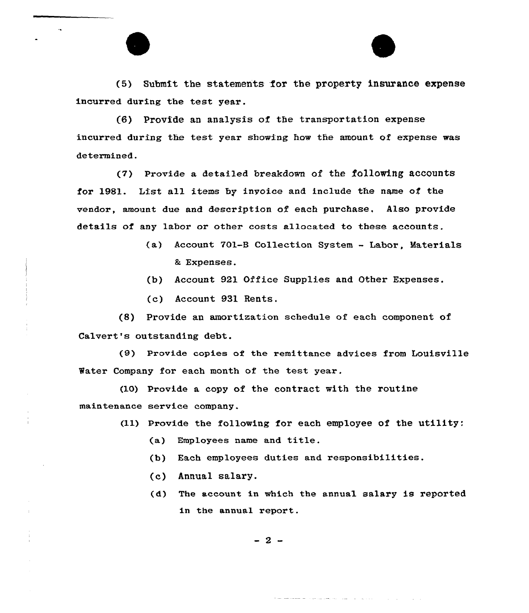(5) Submft the statements for the property insurance expense incurred during the test year.

(6) Provide an analysis of the transportation expense incurred during the test year showing how the amount of expense was determined.

(7) Provide a detailed breakdown of the following accounts for 1981. List all items by invoice and include the name of the vendor, amount due and description of each purchase. Also provide details of any labor or other costs allocated to these accounts.

- (a) Account 701-8 Collection System Labor, Materials & Expenses.
- (b) Account 921 Office Supplies and Other Expenses.
- (c) Account 931 Rents.

(8) Provide an amortization schedule of each component of Calvert's outstanding debt.

(9) Provide copies of the remittance advices from Louisville Water Company for each month of the test year.

(10) Provide a copy of the contract with the routine maintenance service company.

- (11) Provide the following for each employee of the utility:
	- (a) Employees name and title.
	- (b) Each employees duties and responsibilities.
	- (c) Annual salary.
	- (d) The account in which the annual salary is reported in the annual report.

where the company and the production of the company of the company of the

**College Car** 

 $-2-$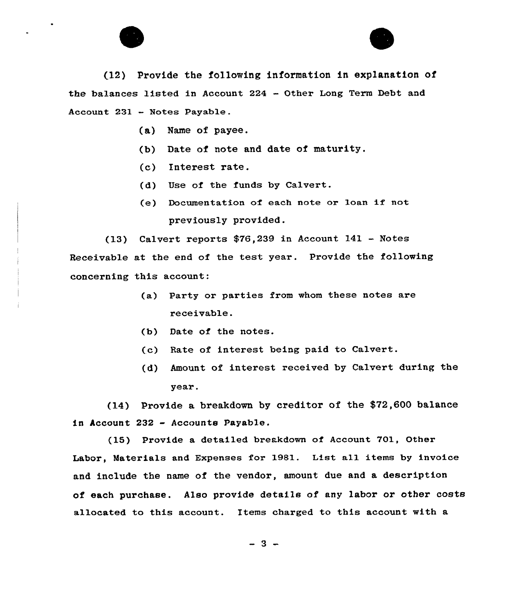



(12) Provide the following information in explanation of the balances listed in Account 224 - Other Long Term Debt and Account <sup>231</sup> - Notes Payable.

- (a) Name of payee.
- (b) Date of note and date of maturity.
- (c} Interest rate.
- (d) Use of the funds by Calvert.
- (e) Documentation of each note or loan if not previously provided.

(13) Calvert reports  $$76,239$  in Account 141 - Notes Receivable at the end of the test year. Provide the following concerning this account:

- (a) Party or parties from whom these notes are receivable.
- (b) Date of the notes.
- (c) Rate of interest being paid to Calvert.
- (d) Amount of interest received by Calvert during the year.

(14) Provide a breakdown by creditor of the \$72,600 balance in Account 232 — Accounts Payable.

(15) Provide a detailed breakdown of Account 701, Other Labor, Materials and Expenses for 1981. List all items by invoice and include the name of the vendor, amount due and a description of each purchase. Also provide details of any labor or other costs allocated to this account. Items charged to this account with a